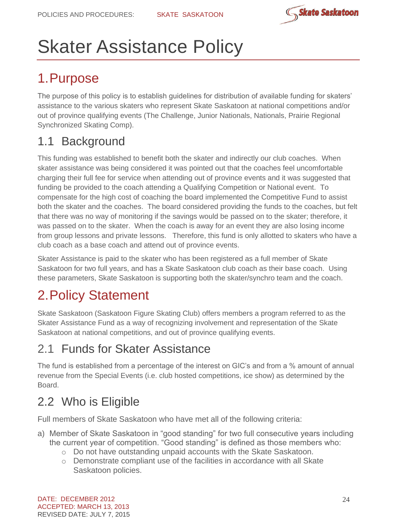

# Skater Assistance Policy

# 1.Purpose

The purpose of this policy is to establish guidelines for distribution of available funding for skaters' assistance to the various skaters who represent Skate Saskatoon at national competitions and/or out of province qualifying events (The Challenge, Junior Nationals, Nationals, Prairie Regional Synchronized Skating Comp).

### 1.1 Background

This funding was established to benefit both the skater and indirectly our club coaches. When skater assistance was being considered it was pointed out that the coaches feel uncomfortable charging their full fee for service when attending out of province events and it was suggested that funding be provided to the coach attending a Qualifying Competition or National event. To compensate for the high cost of coaching the board implemented the Competitive Fund to assist both the skater and the coaches. The board considered providing the funds to the coaches, but felt that there was no way of monitoring if the savings would be passed on to the skater; therefore, it was passed on to the skater. When the coach is away for an event they are also losing income from group lessons and private lessons. Therefore, this fund is only allotted to skaters who have a club coach as a base coach and attend out of province events.

Skater Assistance is paid to the skater who has been registered as a full member of Skate Saskatoon for two full years, and has a Skate Saskatoon club coach as their base coach. Using these parameters, Skate Saskatoon is supporting both the skater/synchro team and the coach.

# 2.Policy Statement

Skate Saskatoon (Saskatoon Figure Skating Club) offers members a program referred to as the Skater Assistance Fund as a way of recognizing involvement and representation of the Skate Saskatoon at national competitions, and out of province qualifying events.

## 2.1 Funds for Skater Assistance

The fund is established from a percentage of the interest on GIC's and from a % amount of annual revenue from the Special Events (i.e. club hosted competitions, ice show) as determined by the Board.

# 2.2 Who is Eligible

Full members of Skate Saskatoon who have met all of the following criteria:

- a) Member of Skate Saskatoon in "good standing" for two full consecutive years including the current year of competition. "Good standing" is defined as those members who:
	- o Do not have outstanding unpaid accounts with the Skate Saskatoon.
	- o Demonstrate compliant use of the facilities in accordance with all Skate Saskatoon policies.

DATE: DECEMBER 2012 ACCEPTED: MARCH 13, 2013 REVISED DATE: JULY 7, 2015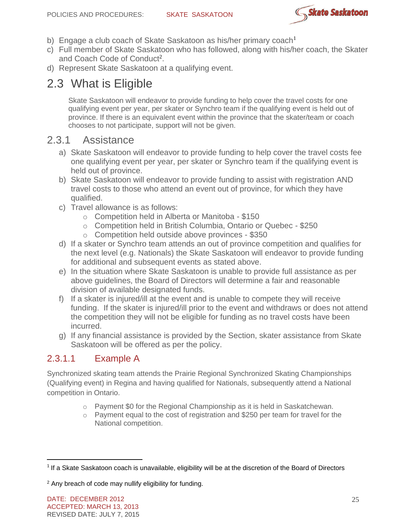

- b) Engage a club coach of Skate Saskatoon as his/her primary coach<sup>1</sup>
- c) Full member of Skate Saskatoon who has followed, along with his/her coach, the Skater and Coach Code of Conduct<sup>2</sup>.
- d) Represent Skate Saskatoon at a qualifying event.

### 2.3 What is Eligible

Skate Saskatoon will endeavor to provide funding to help cover the travel costs for one qualifying event per year, per skater or Synchro team if the qualifying event is held out of province. If there is an equivalent event within the province that the skater/team or coach chooses to not participate, support will not be given.

#### 2.3.1 Assistance

- a) Skate Saskatoon will endeavor to provide funding to help cover the travel costs fee one qualifying event per year, per skater or Synchro team if the qualifying event is held out of province.
- b) Skate Saskatoon will endeavor to provide funding to assist with registration AND travel costs to those who attend an event out of province, for which they have qualified.
- c) Travel allowance is as follows:
	- o Competition held in Alberta or Manitoba \$150
	- o Competition held in British Columbia, Ontario or Quebec \$250
	- o Competition held outside above provinces \$350
- d) If a skater or Synchro team attends an out of province competition and qualifies for the next level (e.g. Nationals) the Skate Saskatoon will endeavor to provide funding for additional and subsequent events as stated above.
- e) In the situation where Skate Saskatoon is unable to provide full assistance as per above guidelines, the Board of Directors will determine a fair and reasonable division of available designated funds.
- f) If a skater is injured/ill at the event and is unable to compete they will receive funding. If the skater is injured/ill prior to the event and withdraws or does not attend the competition they will not be eligible for funding as no travel costs have been incurred.
- g) If any financial assistance is provided by the Section, skater assistance from Skate Saskatoon will be offered as per the policy.

#### 2.3.1.1 Example A

Synchronized skating team attends the Prairie Regional Synchronized Skating Championships (Qualifying event) in Regina and having qualified for Nationals, subsequently attend a National competition in Ontario.

- $\circ$  Payment \$0 for the Regional Championship as it is held in Saskatchewan.
- $\circ$  Payment equal to the cost of registration and \$250 per team for travel for the National competition.

<sup>&</sup>lt;sup>1</sup> If a Skate Saskatoon coach is unavailable, eligibility will be at the discretion of the Board of Directors

<sup>2</sup> Any breach of code may nullify eligibility for funding.